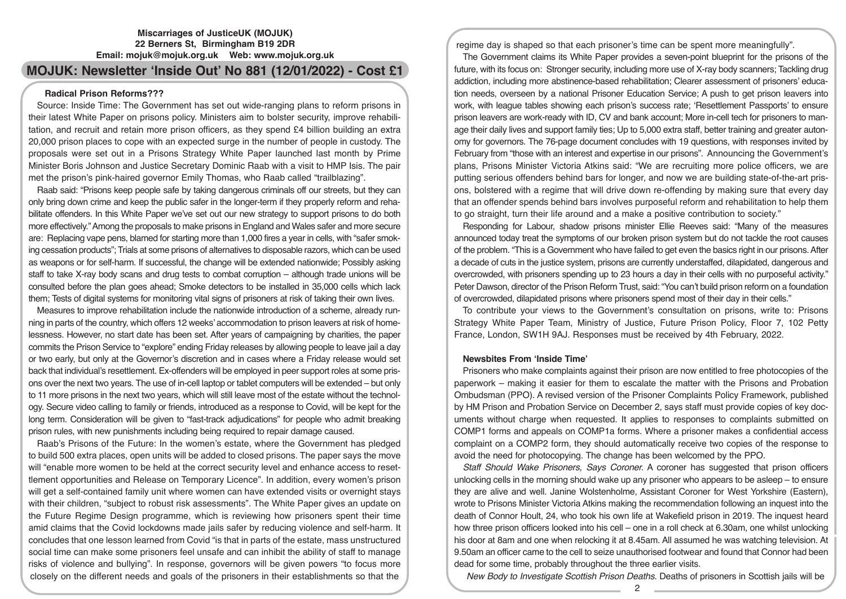# **MOJUK: Newsletter 'Inside Out' No 881 (12/01/2022) - Cost £1**

# **Radical Prison Reforms???**

Source: Inside Time: The Government has set out wide-ranging plans to reform prisons in their latest White Paper on prisons policy. Ministers aim to bolster security, improve rehabilitation, and recruit and retain more prison officers, as they spend £4 billion building an extra 20,000 prison places to cope with an expected surge in the number of people in custody. The proposals were set out in a Prisons Strategy White Paper launched last month by Prime Minister Boris Johnson and Justice Secretary Dominic Raab with a visit to HMP Isis. The pair met the prison's pink-haired governor Emily Thomas, who Raab called "trailblazing".

Raab said: "Prisons keep people safe by taking dangerous criminals off our streets, but they can only bring down crime and keep the public safer in the longer-term if they properly reform and rehabilitate offenders. In this White Paper we've set out our new strategy to support prisons to do both more effectively." Among the proposals to make prisons in England and Wales safer and more secure are: Replacing vape pens, blamed for starting more than 1,000 fires a year in cells, with "safer smoking cessation products"; Trials at some prisons of alternatives to disposable razors, which can be used as weapons or for self-harm. If successful, the change will be extended nationwide; Possibly asking staff to take X-ray body scans and drug tests to combat corruption – although trade unions will be consulted before the plan goes ahead; Smoke detectors to be installed in 35,000 cells which lack them; Tests of digital systems for monitoring vital signs of prisoners at risk of taking their own lives.

Measures to improve rehabilitation include the nationwide introduction of a scheme, already running in parts of the country, which offers 12 weeks' accommodation to prison leavers at risk of homelessness. However, no start date has been set. After years of campaigning by charities, the paper commits the Prison Service to "explore" ending Friday releases by allowing people to leave jail a day or two early, but only at the Governor's discretion and in cases where a Friday release would set back that individual's resettlement. Ex-offenders will be employed in peer support roles at some prisons over the next two years. The use of in-cell laptop or tablet computers will be extended – but only to 11 more prisons in the next two years, which will still leave most of the estate without the technology. Secure video calling to family or friends, introduced as a response to Covid, will be kept for the long term. Consideration will be given to "fast-track adjudications" for people who admit breaking prison rules, with new punishments including being required to repair damage caused.

Raab's Prisons of the Future: In the women's estate, where the Government has pledged to build 500 extra places, open units will be added to closed prisons. The paper says the move will "enable more women to be held at the correct security level and enhance access to resettlement opportunities and Release on Temporary Licence". In addition, every women's prison will get a self-contained family unit where women can have extended visits or overnight stays with their children, "subject to robust risk assessments". The White Paper gives an update on the Future Regime Design programme, which is reviewing how prisoners spent their time amid claims that the Covid lockdowns made jails safer by reducing violence and self-harm. It concludes that one lesson learned from Covid "is that in parts of the estate, mass unstructured social time can make some prisoners feel unsafe and can inhibit the ability of staff to manage risks of violence and bullying". In response, governors will be given powers "to focus more closely on the different needs and goals of the prisoners in their establishments so that the

regime day is shaped so that each prisoner's time can be spent more meaningfully".

The Government claims its White Paper provides a seven-point blueprint for the prisons of the future, with its focus on: Stronger security, including more use of X-ray body scanners; Tackling drug addiction, including more abstinence-based rehabilitation; Clearer assessment of prisoners' education needs, overseen by a national Prisoner Education Service; A push to get prison leavers into work, with league tables showing each prison's success rate; 'Resettlement Passports' to ensure prison leavers are work-ready with ID, CV and bank account; More in-cell tech for prisoners to manage their daily lives and support family ties; Up to 5,000 extra staff, better training and greater autonomy for governors. The 76-page document concludes with 19 questions, with responses invited by February from "those with an interest and expertise in our prisons". Announcing the Government's plans, Prisons Minister Victoria Atkins said: "We are recruiting more police officers, we are putting serious offenders behind bars for longer, and now we are building state-of-the-art prisons, bolstered with a regime that will drive down re-offending by making sure that every day that an offender spends behind bars involves purposeful reform and rehabilitation to help them to go straight, turn their life around and a make a positive contribution to society."

Responding for Labour, shadow prisons minister Ellie Reeves said: "Many of the measures announced today treat the symptoms of our broken prison system but do not tackle the root causes of the problem. "This is a Government who have failed to get even the basics right in our prisons. After a decade of cuts in the justice system, prisons are currently understaffed, dilapidated, dangerous and overcrowded, with prisoners spending up to 23 hours a day in their cells with no purposeful activity." Peter Dawson, director of the Prison Reform Trust, said: "You can't build prison reform on a foundation of overcrowded, dilapidated prisons where prisoners spend most of their day in their cells."

To contribute your views to the Government's consultation on prisons, write to: Prisons Strategy White Paper Team, Ministry of Justice, Future Prison Policy, Floor 7, 102 Petty France, London, SW1H 9AJ. Responses must be received by 4th February, 2022.

## **Newsbites From 'Inside Time'**

Prisoners who make complaints against their prison are now entitled to free photocopies of the paperwork – making it easier for them to escalate the matter with the Prisons and Probation Ombudsman (PPO). A revised version of the Prisoner Complaints Policy Framework, published by HM Prison and Probation Service on December 2, says staff must provide copies of key documents without charge when requested. It applies to responses to complaints submitted on COMP1 forms and appeals on COMP1a forms. Where a prisoner makes a confidential access complaint on a COMP2 form, they should automatically receive two copies of the response to avoid the need for photocopying. The change has been welcomed by the PPO.

*Staff Should Wake Prisoners, Says Coroner.* A coroner has suggested that prison officers unlocking cells in the morning should wake up any prisoner who appears to be asleep – to ensure they are alive and well. Janine Wolstenholme, Assistant Coroner for West Yorkshire (Eastern), wrote to Prisons Minister Victoria Atkins making the recommendation following an inquest into the death of Connor Hoult, 24, who took his own life at Wakefield prison in 2019. The inquest heard how three prison officers looked into his cell – one in a roll check at 6.30am, one whilst unlocking his door at 8am and one when relocking it at 8.45am. All assumed he was watching television. At 9.50am an officer came to the cell to seize unauthorised footwear and found that Connor had been dead for some time, probably throughout the three earlier visits.

*New Body to Investigate Scottish Prison Deaths.* Deaths of prisoners in Scottish jails will be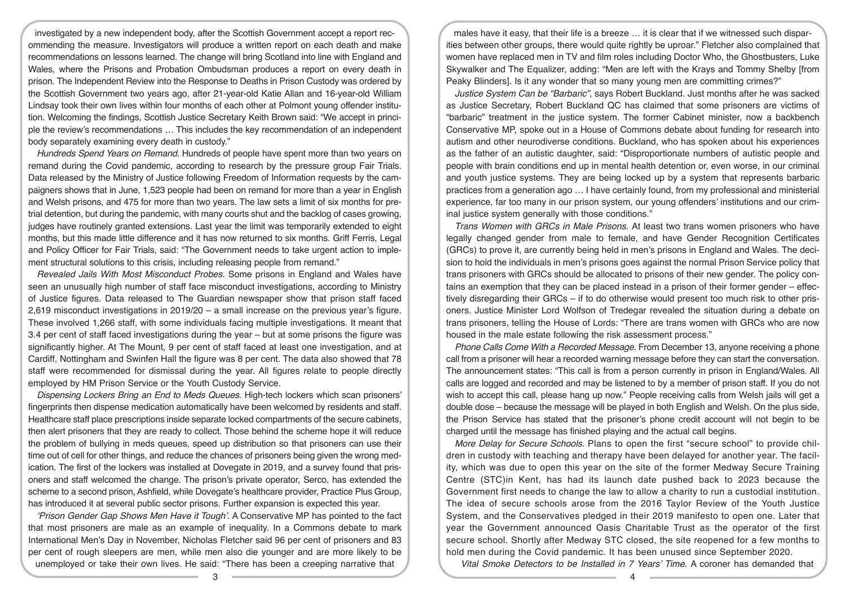investigated by a new independent body, after the Scottish Government accept a report recommending the measure. Investigators will produce a written report on each death and make recommendations on lessons learned. The change will bring Scotland into line with England and Wales, where the Prisons and Probation Ombudsman produces a report on every death in prison. The Independent Review into the Response to Deaths in Prison Custody was ordered by the Scottish Government two years ago, after 21-year-old Katie Allan and 16-year-old William Lindsay took their own lives within four months of each other at Polmont young offender institution. Welcoming the findings, Scottish Justice Secretary Keith Brown said: "We accept in principle the review's recommendations … This includes the key recommendation of an independent body separately examining every death in custody."

*Hundreds Spend Years on Remand.* Hundreds of people have spent more than two years on remand during the Covid pandemic, according to research by the pressure group Fair Trials. Data released by the Ministry of Justice following Freedom of Information requests by the campaigners shows that in June, 1,523 people had been on remand for more than a year in English and Welsh prisons, and 475 for more than two years. The law sets a limit of six months for pretrial detention, but during the pandemic, with many courts shut and the backlog of cases growing, judges have routinely granted extensions. Last year the limit was temporarily extended to eight months, but this made little difference and it has now returned to six months. Griff Ferris, Legal and Policy Officer for Fair Trials, said: "The Government needs to take urgent action to implement structural solutions to this crisis, including releasing people from remand."

*Revealed Jails With Most Misconduct Probes.* Some prisons in England and Wales have seen an unusually high number of staff face misconduct investigations, according to Ministry of Justice figures. Data released to The Guardian newspaper show that prison staff faced 2,619 misconduct investigations in 2019/20 – a small increase on the previous year's figure. These involved 1,266 staff, with some individuals facing multiple investigations. It meant that 3.4 per cent of staff faced investigations during the year – but at some prisons the figure was significantly higher. At The Mount, 9 per cent of staff faced at least one investigation, and at Cardiff, Nottingham and Swinfen Hall the figure was 8 per cent. The data also showed that 78 staff were recommended for dismissal during the year. All figures relate to people directly employed by HM Prison Service or the Youth Custody Service.

*Dispensing Lockers Bring an End to Meds Queues*. High-tech lockers which scan prisoners' fingerprints then dispense medication automatically have been welcomed by residents and staff. Healthcare staff place prescriptions inside separate locked compartments of the secure cabinets, then alert prisoners that they are ready to collect. Those behind the scheme hope it will reduce the problem of bullying in meds queues, speed up distribution so that prisoners can use their time out of cell for other things, and reduce the chances of prisoners being given the wrong medication. The first of the lockers was installed at Dovegate in 2019, and a survey found that prisoners and staff welcomed the change. The prison's private operator, Serco, has extended the scheme to a second prison, Ashfield, while Dovegate's healthcare provider, Practice Plus Group, has introduced it at several public sector prisons. Further expansion is expected this year.

*'Prison Gender Gap Shows Men Have it Tough'*. A Conservative MP has pointed to the fact that most prisoners are male as an example of inequality. In a Commons debate to mark International Men's Day in November, Nicholas Fletcher said 96 per cent of prisoners and 83 per cent of rough sleepers are men, while men also die younger and are more likely to be unemployed or take their own lives. He said: "There has been a creeping narrative that

males have it easy, that their life is a breeze … it is clear that if we witnessed such disparities between other groups, there would quite rightly be uproar." Fletcher also complained that women have replaced men in TV and film roles including Doctor Who, the Ghostbusters, Luke Skywalker and The Equalizer, adding: "Men are left with the Krays and Tommy Shelby [from Peaky Blinders]. Is it any wonder that so many young men are committing crimes?"

*Justice System Can be "Barbaric"*, says Robert Buckland. Just months after he was sacked as Justice Secretary, Robert Buckland QC has claimed that some prisoners are victims of "barbaric" treatment in the justice system. The former Cabinet minister, now a backbench Conservative MP, spoke out in a House of Commons debate about funding for research into autism and other neurodiverse conditions. Buckland, who has spoken about his experiences as the father of an autistic daughter, said: "Disproportionate numbers of autistic people and people with brain conditions end up in mental health detention or, even worse, in our criminal and youth justice systems. They are being locked up by a system that represents barbaric practices from a generation ago … I have certainly found, from my professional and ministerial experience, far too many in our prison system, our young offenders' institutions and our criminal justice system generally with those conditions."

*Trans Women with GRCs in Male Prisons.* At least two trans women prisoners who have legally changed gender from male to female, and have Gender Recognition Certificates (GRCs) to prove it, are currently being held in men's prisons in England and Wales. The decision to hold the individuals in men's prisons goes against the normal Prison Service policy that trans prisoners with GRCs should be allocated to prisons of their new gender. The policy contains an exemption that they can be placed instead in a prison of their former gender – effectively disregarding their GRCs – if to do otherwise would present too much risk to other prisoners. Justice Minister Lord Wolfson of Tredegar revealed the situation during a debate on trans prisoners, telling the House of Lords: "There are trans women with GRCs who are now housed in the male estate following the risk assessment process."

*Phone Calls Come With a Recorded Message.* From December 13, anyone receiving a phone call from a prisoner will hear a recorded warning message before they can start the conversation. The announcement states: "This call is from a person currently in prison in England/Wales. All calls are logged and recorded and may be listened to by a member of prison staff. If you do not wish to accept this call, please hang up now." People receiving calls from Welsh jails will get a double dose – because the message will be played in both English and Welsh. On the plus side, the Prison Service has stated that the prisoner's phone credit account will not begin to be charged until the message has finished playing and the actual call begins.

*More Delay for Secure Schools.* Plans to open the first "secure school" to provide children in custody with teaching and therapy have been delayed for another year. The facility, which was due to open this year on the site of the former Medway Secure Training Centre (STC)in Kent, has had its launch date pushed back to 2023 because the Government first needs to change the law to allow a charity to run a custodial institution. The idea of secure schools arose from the 2016 Taylor Review of the Youth Justice System, and the Conservatives pledged in their 2019 manifesto to open one. Later that year the Government announced Oasis Charitable Trust as the operator of the first secure school. Shortly after Medway STC closed, the site reopened for a few months to hold men during the Covid pandemic. It has been unused since September 2020.

*Vital Smoke Detectors to be Installed in 7 Years' Time.* A coroner has demanded that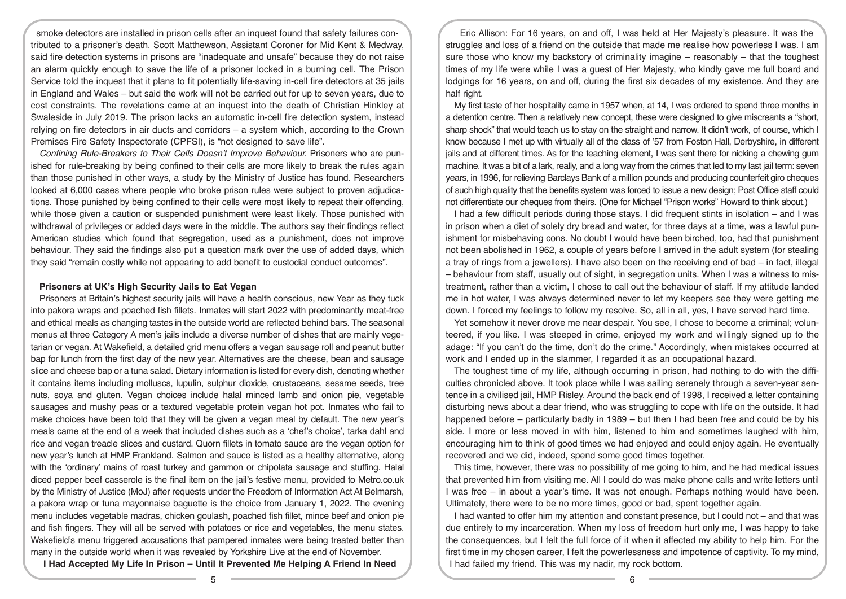smoke detectors are installed in prison cells after an inquest found that safety failures contributed to a prisoner's death. Scott Matthewson, Assistant Coroner for Mid Kent & Medway, said fire detection systems in prisons are "inadequate and unsafe" because they do not raise an alarm quickly enough to save the life of a prisoner locked in a burning cell. The Prison Service told the inquest that it plans to fit potentially life-saving in-cell fire detectors at 35 jails in England and Wales – but said the work will not be carried out for up to seven years, due to cost constraints. The revelations came at an inquest into the death of Christian Hinkley at Swaleside in July 2019. The prison lacks an automatic in-cell fire detection system, instead relying on fire detectors in air ducts and corridors – a system which, according to the Crown Premises Fire Safety Inspectorate (CPFSI), is "not designed to save life".

*Confining Rule-Breakers to Their Cells Doesn't Improve Behaviour.* Prisoners who are punished for rule-breaking by being confined to their cells are more likely to break the rules again than those punished in other ways, a study by the Ministry of Justice has found. Researchers looked at 6,000 cases where people who broke prison rules were subject to proven adjudications. Those punished by being confined to their cells were most likely to repeat their offending, while those given a caution or suspended punishment were least likely. Those punished with withdrawal of privileges or added days were in the middle. The authors say their findings reflect American studies which found that segregation, used as a punishment, does not improve behaviour. They said the findings also put a question mark over the use of added days, which they said "remain costly while not appearing to add benefit to custodial conduct outcomes".

#### **Prisoners at UK's High Security Jails to Eat Vegan**

Prisoners at Britain's highest security jails will have a health conscious, new Year as they tuck into pakora wraps and poached fish fillets. Inmates will start 2022 with predominantly meat-free and ethical meals as changing tastes in the outside world are reflected behind bars. The seasonal menus at three Category A men's jails include a diverse number of dishes that are mainly vegetarian or vegan. At Wakefield, a detailed grid menu offers a vegan sausage roll and peanut butter bap for lunch from the first day of the new year. Alternatives are the cheese, bean and sausage slice and cheese bap or a tuna salad. Dietary information is listed for every dish, denoting whether it contains items including molluscs, lupulin, sulphur dioxide, crustaceans, sesame seeds, tree nuts, soya and gluten. Vegan choices include halal minced lamb and onion pie, vegetable sausages and mushy peas or a textured vegetable protein vegan hot pot. Inmates who fail to make choices have been told that they will be given a vegan meal by default. The new year's meals came at the end of a week that included dishes such as a 'chef's choice', tarka dahl and rice and vegan treacle slices and custard. Quorn fillets in tomato sauce are the vegan option for new year's lunch at HMP Frankland. Salmon and sauce is listed as a healthy alternative, along with the 'ordinary' mains of roast turkey and gammon or chipolata sausage and stuffing. Halal diced pepper beef casserole is the final item on the jail's festive menu, provided to Metro.co.uk by the Ministry of Justice (MoJ) after requests under the Freedom of Information Act At Belmarsh, a pakora wrap or tuna mayonnaise baguette is the choice from January 1, 2022. The evening menu includes vegetable madras, chicken goulash, poached fish fillet, mince beef and onion pie and fish fingers. They will all be served with potatoes or rice and vegetables, the menu states. Wakefield's menu triggered accusations that pampered inmates were being treated better than many in the outside world when it was revealed by Yorkshire Live at the end of November.

**I Had Accepted My Life In Prison – Until It Prevented Me Helping A Friend In Need** 

Eric Allison: For 16 years, on and off, I was held at Her Majesty's pleasure. It was the struggles and loss of a friend on the outside that made me realise how powerless I was. I am sure those who know my backstory of criminality imagine  $-$  reasonably  $-$  that the toughest times of my life were while I was a guest of Her Majesty, who kindly gave me full board and lodgings for 16 years, on and off, during the first six decades of my existence. And they are half right.

My first taste of her hospitality came in 1957 when, at 14, I was ordered to spend three months in a detention centre. Then a relatively new concept, these were designed to give miscreants a "short, sharp shock" that would teach us to stay on the straight and narrow. It didn't work, of course, which I know because I met up with virtually all of the class of '57 from Foston Hall, Derbyshire, in different jails and at different times. As for the teaching element, I was sent there for nicking a chewing gum machine. It was a bit of a lark, really, and a long way from the crimes that led to my last jail term: seven years, in 1996, for relieving Barclays Bank of a million pounds and producing counterfeit giro cheques of such high quality that the benefits system was forced to issue a new design; Post Office staff could not differentiate our cheques from theirs. (One for Michael "Prison works" Howard to think about.)

I had a few difficult periods during those stays. I did frequent stints in isolation – and I was in prison when a diet of solely dry bread and water, for three days at a time, was a lawful punishment for misbehaving cons. No doubt I would have been birched, too, had that punishment not been abolished in 1962, a couple of years before I arrived in the adult system (for stealing a tray of rings from a jewellers). I have also been on the receiving end of bad – in fact, illegal – behaviour from staff, usually out of sight, in segregation units. When I was a witness to mistreatment, rather than a victim, I chose to call out the behaviour of staff. If my attitude landed me in hot water, I was always determined never to let my keepers see they were getting me down. I forced my feelings to follow my resolve. So, all in all, yes, I have served hard time.

Yet somehow it never drove me near despair. You see, I chose to become a criminal; volunteered, if you like. I was steeped in crime, enjoyed my work and willingly signed up to the adage: "If you can't do the time, don't do the crime." Accordingly, when mistakes occurred at work and I ended up in the slammer, I regarded it as an occupational hazard.

The toughest time of my life, although occurring in prison, had nothing to do with the difficulties chronicled above. It took place while I was sailing serenely through a seven-year sentence in a civilised jail, HMP Risley. Around the back end of 1998, I received a letter containing disturbing news about a dear friend, who was struggling to cope with life on the outside. It had happened before – particularly badly in 1989 – but then I had been free and could be by his side. I more or less moved in with him, listened to him and sometimes laughed with him, encouraging him to think of good times we had enjoyed and could enjoy again. He eventually recovered and we did, indeed, spend some good times together.

This time, however, there was no possibility of me going to him, and he had medical issues that prevented him from visiting me. All I could do was make phone calls and write letters until I was free – in about a year's time. It was not enough. Perhaps nothing would have been. Ultimately, there were to be no more times, good or bad, spent together again.

I had wanted to offer him my attention and constant presence, but I could not – and that was due entirely to my incarceration. When my loss of freedom hurt only me, I was happy to take the consequences, but I felt the full force of it when it affected my ability to help him. For the first time in my chosen career, I felt the powerlessness and impotence of captivity. To my mind, I had failed my friend. This was my nadir, my rock bottom.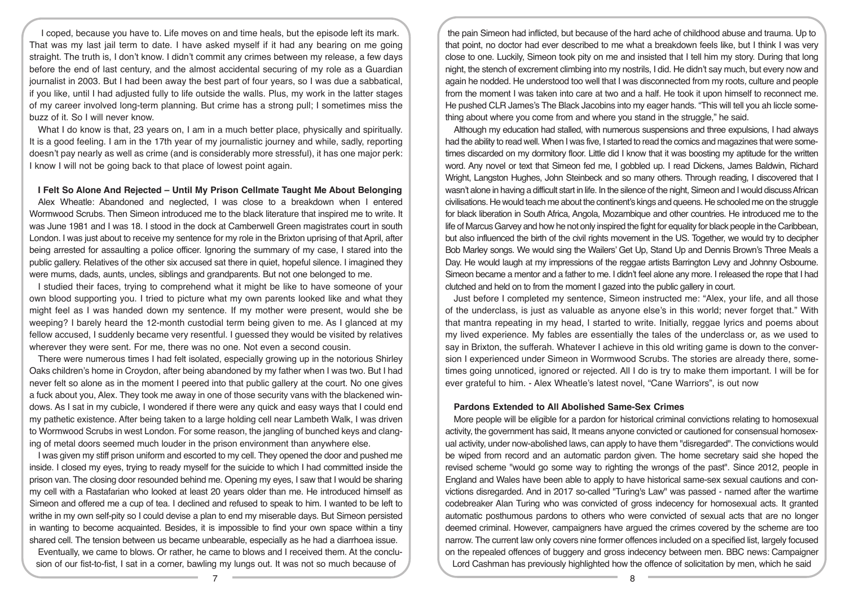I coped, because you have to. Life moves on and time heals, but the episode left its mark. That was my last jail term to date. I have asked myself if it had any bearing on me going straight. The truth is, I don't know. I didn't commit any crimes between my release, a few days before the end of last century, and the almost accidental securing of my role as a Guardian journalist in 2003. But I had been away the best part of four years, so I was due a sabbatical, if you like, until I had adjusted fully to life outside the walls. Plus, my work in the latter stages of my career involved long-term planning. But crime has a strong pull; I sometimes miss the buzz of it. So I will never know.

What I do know is that, 23 years on, I am in a much better place, physically and spiritually. It is a good feeling. I am in the 17th year of my journalistic journey and while, sadly, reporting doesn't pay nearly as well as crime (and is considerably more stressful), it has one major perk: I know I will not be going back to that place of lowest point again.

## **I Felt So Alone And Rejected – Until My Prison Cellmate Taught Me About Belonging**

Alex Wheatle: Abandoned and neglected, I was close to a breakdown when I entered Wormwood Scrubs. Then Simeon introduced me to the black literature that inspired me to write. It was June 1981 and I was 18. I stood in the dock at Camberwell Green magistrates court in south London. I was just about to receive my sentence for my role in the Brixton uprising of that April, after being arrested for assaulting a police officer. Ignoring the summary of my case, I stared into the public gallery. Relatives of the other six accused sat there in quiet, hopeful silence. I imagined they were mums, dads, aunts, uncles, siblings and grandparents. But not one belonged to me.

I studied their faces, trying to comprehend what it might be like to have someone of your own blood supporting you. I tried to picture what my own parents looked like and what they might feel as I was handed down my sentence. If my mother were present, would she be weeping? I barely heard the 12‑month custodial term being given to me. As I glanced at my fellow accused, I suddenly became very resentful. I guessed they would be visited by relatives wherever they were sent. For me, there was no one. Not even a second cousin.

There were numerous times I had felt isolated, especially growing up in the notorious Shirley Oaks children's home in Croydon, after being abandoned by my father when I was two. But I had never felt so alone as in the moment I peered into that public gallery at the court. No one gives a fuck about you, Alex. They took me away in one of those security vans with the blackened windows. As I sat in my cubicle, I wondered if there were any quick and easy ways that I could end my pathetic existence. After being taken to a large holding cell near Lambeth Walk, I was driven to Wormwood Scrubs in west London. For some reason, the jangling of bunched keys and clanging of metal doors seemed much louder in the prison environment than anywhere else.

I was given my stiff prison uniform and escorted to my cell. They opened the door and pushed me inside. I closed my eyes, trying to ready myself for the suicide to which I had committed inside the prison van. The closing door resounded behind me. Opening my eyes, I saw that I would be sharing my cell with a Rastafarian who looked at least 20 years older than me. He introduced himself as Simeon and offered me a cup of tea. I declined and refused to speak to him. I wanted to be left to writhe in my own self-pity so I could devise a plan to end my miserable days. But Simeon persisted in wanting to become acquainted. Besides, it is impossible to find your own space within a tiny shared cell. The tension between us became unbearable, especially as he had a diarrhoea issue.

Eventually, we came to blows. Or rather, he came to blows and I received them. At the conclusion of our fist-to-fist, I sat in a corner, bawling my lungs out. It was not so much because of

the pain Simeon had inflicted, but because of the hard ache of childhood abuse and trauma. Up to that point, no doctor had ever described to me what a breakdown feels like, but I think I was very close to one. Luckily, Simeon took pity on me and insisted that I tell him my story. During that long night, the stench of excrement climbing into my nostrils, I did. He didn't say much, but every now and again he nodded. He understood too well that I was disconnected from my roots, culture and people from the moment I was taken into care at two and a half. He took it upon himself to reconnect me. He pushed CLR James's The Black Jacobins into my eager hands. "This will tell you ah liccle something about where you come from and where you stand in the struggle," he said.

Although my education had stalled, with numerous suspensions and three expulsions, I had always had the ability to read well. When I was five, I started to read the comics and magazines that were sometimes discarded on my dormitory floor. Little did I know that it was boosting my aptitude for the written word. Any novel or text that Simeon fed me, I gobbled up. I read Dickens, James Baldwin, Richard Wright, Langston Hughes, John Steinbeck and so many others. Through reading, I discovered that I wasn't alone in having a difficult start in life. In the silence of the night, Simeon and I would discuss African civilisations. He would teach me about the continent's kings and queens. He schooled me on the struggle for black liberation in South Africa, Angola, Mozambique and other countries. He introduced me to the life of Marcus Garvey and how he not only inspired the fight for equality for black people in the Caribbean, but also influenced the birth of the civil rights movement in the US. Together, we would try to decipher Bob Marley songs. We would sing the Wailers' Get Up, Stand Up and Dennis Brown's Three Meals a Day. He would laugh at my impressions of the reggae artists Barrington Levy and Johnny Osbourne. Simeon became a mentor and a father to me. I didn't feel alone any more. I released the rope that I had clutched and held on to from the moment I gazed into the public gallery in court.

Just before I completed my sentence, Simeon instructed me: "Alex, your life, and all those of the underclass, is just as valuable as anyone else's in this world; never forget that." With that mantra repeating in my head, I started to write. Initially, reggae lyrics and poems about my lived experience. My fables are essentially the tales of the underclass or, as we used to say in Brixton, the sufferah. Whatever I achieve in this old writing game is down to the conversion I experienced under Simeon in Wormwood Scrubs. The stories are already there, sometimes going unnoticed, ignored or rejected. All I do is try to make them important. I will be for ever grateful to him. - Alex Wheatle's latest novel, "Cane Warriors", is out now

#### **Pardons Extended to All Abolished Same-Sex Crimes**

More people will be eligible for a pardon for historical criminal convictions relating to homosexual activity, the government has said, It means anyone convicted or cautioned for consensual homosexual activity, under now-abolished laws, can apply to have them "disregarded". The convictions would be wiped from record and an automatic pardon given. The home secretary said she hoped the revised scheme "would go some way to righting the wrongs of the past". Since 2012, people in England and Wales have been able to apply to have historical same-sex sexual cautions and convictions disregarded. And in 2017 so-called "Turing's Law" was passed - named after the wartime codebreaker Alan Turing who was convicted of gross indecency for homosexual acts. It granted automatic posthumous pardons to others who were convicted of sexual acts that are no longer deemed criminal. However, campaigners have argued the crimes covered by the scheme are too narrow. The current law only covers nine former offences included on a specified list, largely focused on the repealed offences of buggery and gross indecency between men. BBC news: Campaigner Lord Cashman has previously highlighted how the offence of solicitation by men, which he said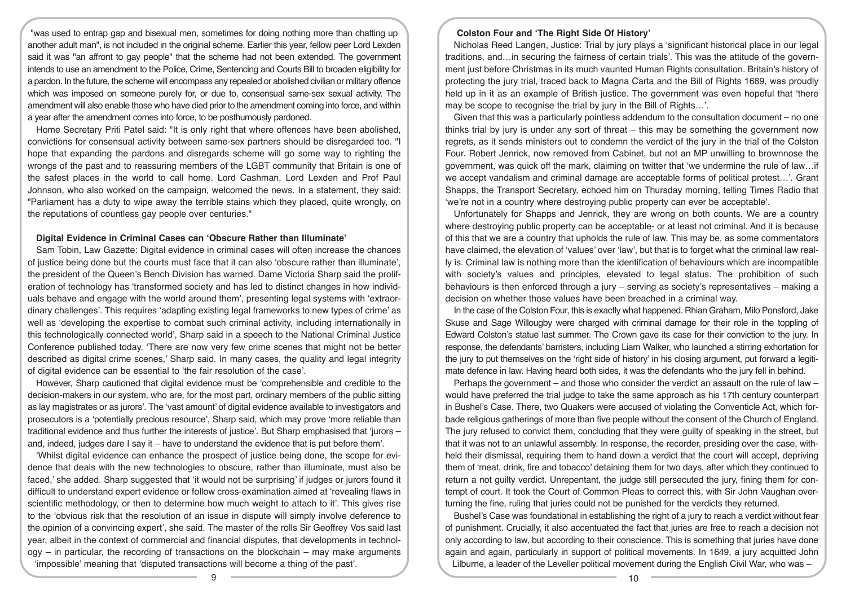"was used to entrap gap and bisexual men, sometimes for doing nothing more than chatting up another adult man", is not included in the original scheme. Earlier this year, fellow peer Lord Lexden said it was "an affront to gay people" that the scheme had not been extended. The government intends to use an amendment to the Police, Crime, Sentencing and Courts Bill to broaden eligibility for a pardon. In the future, the scheme will encompass any repealed or abolished civilian or military offence which was imposed on someone purely for, or due to, consensual same-sex sexual activity. The amendment will also enable those who have died prior to the amendment coming into force, and within a year after the amendment comes into force, to be posthumously pardoned.

Home Secretary Priti Patel said: "It is only right that where offences have been abolished, convictions for consensual activity between same-sex partners should be disregarded too. "I hope that expanding the pardons and disregards scheme will go some way to righting the wrongs of the past and to reassuring members of the LGBT community that Britain is one of the safest places in the world to call home. Lord Cashman, Lord Lexden and Prof Paul Johnson, who also worked on the campaign, welcomed the news. In a statement, they said: "Parliament has a duty to wipe away the terrible stains which they placed, quite wrongly, on the reputations of countless gay people over centuries."

### **Digital Evidence in Criminal Cases can 'Obscure Rather than Illuminate'**

Sam Tobin, Law Gazette: Digital evidence in criminal cases will often increase the chances of justice being done but the courts must face that it can also 'obscure rather than illuminate', the president of the Queen's Bench Division has warned. Dame Victoria Sharp said the proliferation of technology has 'transformed society and has led to distinct changes in how individuals behave and engage with the world around them', presenting legal systems with 'extraordinary challenges'. This requires 'adapting existing legal frameworks to new types of crime' as well as 'developing the expertise to combat such criminal activity, including internationally in this technologically connected world', Sharp said in a speech to the National Criminal Justice Conference published today. 'There are now very few crime scenes that might not be better described as digital crime scenes,' Sharp said. In many cases, the quality and legal integrity of digital evidence can be essential to 'the fair resolution of the case'.

However, Sharp cautioned that digital evidence must be 'comprehensible and credible to the decision-makers in our system, who are, for the most part, ordinary members of the public sitting as lay magistrates or as jurors'. The 'vast amount' of digital evidence available to investigators and prosecutors is a 'potentially precious resource', Sharp said, which may prove 'more reliable than traditional evidence and thus further the interests of justice'. But Sharp emphasised that 'jurors – and, indeed, judges dare I say it – have to understand the evidence that is put before them'.

'Whilst digital evidence can enhance the prospect of justice being done, the scope for evidence that deals with the new technologies to obscure, rather than illuminate, must also be faced,' she added. Sharp suggested that 'it would not be surprising' if judges or jurors found it difficult to understand expert evidence or follow cross-examination aimed at 'revealing flaws in scientific methodology, or then to determine how much weight to attach to it'. This gives rise to the 'obvious risk that the resolution of an issue in dispute will simply involve deference to the opinion of a convincing expert', she said. The master of the rolls Sir Geoffrey Vos said last year, albeit in the context of commercial and financial disputes, that developments in technology – in particular, the recording of transactions on the blockchain – may make arguments 'impossible' meaning that 'disputed transactions will become a thing of the past'.

# **Colston Four and 'The Right Side Of History'**

Nicholas Reed Langen, Justice: Trial by jury plays a 'significant historical place in our legal traditions, and…in securing the fairness of certain trials'. This was the attitude of the government just before Christmas in its much vaunted Human Rights consultation. Britain's history of protecting the jury trial, traced back to Magna Carta and the Bill of Rights 1689, was proudly held up in it as an example of British justice. The government was even hopeful that 'there may be scope to recognise the trial by jury in the Bill of Rights…'.

Given that this was a particularly pointless addendum to the consultation document – no one thinks trial by jury is under any sort of threat – this may be something the government now regrets, as it sends ministers out to condemn the verdict of the jury in the trial of the Colston Four. Robert Jenrick, now removed from Cabinet, but not an MP unwilling to brownnose the government, was quick off the mark, claiming on twitter that 'we undermine the rule of law…if we accept vandalism and criminal damage are acceptable forms of political protest…'. Grant Shapps, the Transport Secretary, echoed him on Thursday morning, telling Times Radio that 'we're not in a country where destroying public property can ever be acceptable'.

Unfortunately for Shapps and Jenrick, they are wrong on both counts. We are a country where destroying public property can be acceptable- or at least not criminal. And it is because of this that we are a country that upholds the rule of law. This may be, as some commentators have claimed, the elevation of 'values' over 'law', but that is to forget what the criminal law really is. Criminal law is nothing more than the identification of behaviours which are incompatible with society's values and principles, elevated to legal status. The prohibition of such behaviours is then enforced through a jury – serving as society's representatives – making a decision on whether those values have been breached in a criminal way.

In the case of the Colston Four, this is exactly what happened. Rhian Graham, Milo Ponsford, Jake Skuse and Sage Willougby were charged with criminal damage for their role in the toppling of Edward Colston's statue last summer. The Crown gave its case for their conviction to the jury. In response, the defendants' barristers, including Liam Walker, who launched a stirring exhortation for the jury to put themselves on the 'right side of history' in his closing argument, put forward a legitimate defence in law. Having heard both sides, it was the defendants who the jury fell in behind.

Perhaps the government – and those who consider the verdict an assault on the rule of law – would have preferred the trial judge to take the same approach as his 17th century counterpart in Bushel's Case. There, two Quakers were accused of violating the Conventicle Act, which forbade religious gatherings of more than five people without the consent of the Church of England. The jury refused to convict them, concluding that they were guilty of speaking in the street, but that it was not to an unlawful assembly. In response, the recorder, presiding over the case, withheld their dismissal, requiring them to hand down a verdict that the court will accept, depriving them of 'meat, drink, fire and tobacco' detaining them for two days, after which they continued to return a not guilty verdict. Unrepentant, the judge still persecuted the jury, fining them for contempt of court. It took the Court of Common Pleas to correct this, with Sir John Vaughan overturning the fine, ruling that juries could not be punished for the verdicts they returned.

Bushel's Case was foundational in establishing the right of a jury to reach a verdict without fear of punishment. Crucially, it also accentuated the fact that juries are free to reach a decision not only according to law, but according to their conscience. This is something that juries have done again and again, particularly in support of political movements. In 1649, a jury acquitted John Lilburne, a leader of the Leveller political movement during the English Civil War, who was –